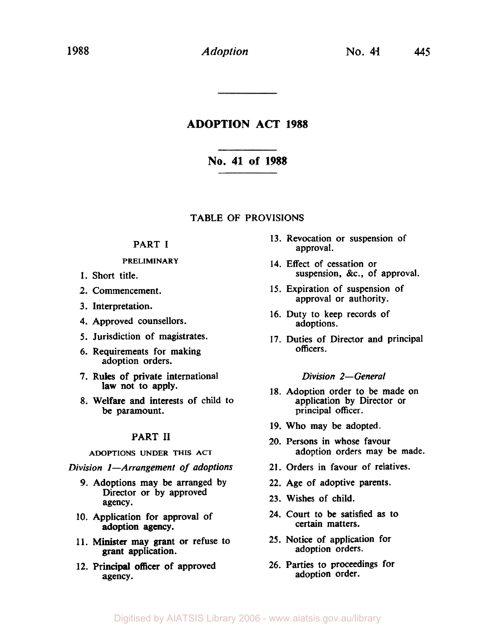# **ADOPTION ACT** *1988*

# **No. 41 of 1988**

## TABLE OF PROVISIONS

## PART I

#### **PRELIMINARY**

- **1.** Short title.
- **2.** Commencement.
- 3. Interpretation.
- **4.** Approved counsellors.
- **5.** Jurisdiction of magistrates.
- **6.** Requirements for making adoption orders.
- **7.** Rules of private international law not to apply.
- 8. Welfare and interests of child to be paramount.

## PART **II**

#### **ADOPTIONS UNDER THIS ACT**

### *Division I-Arrangement of adoptions*

- **9.** Adoptions may be arranged by Director or by approved agency.
- adoption agency. **10.** Application for approval of
- grant application. **11.** Minister may grant or refuse to
- agency. **12.** Principal officer of approved
- **13.** Revocation or suspension *of*  approval.
- **14.** Effect of cessation or suspension, &c., of approval.
- **15.** Expiration of suspension of approval or authority.
- **16.** Duty to keep records of adoptions.
- **17.** Duties of Director and principal officers.

*Division 2-General* 

- **18.** Adoption order to be made on application by Director or principal officer.
- **19.** Who may be adopted.
- **20.** Persons in whose favour adoption orders may be made.
- **21.** Orders in favour of relatives.
- **22.** Age of adoptive parents.
- **23.** Wishes of child.
- **24.** Court to **be** satisfied **as** to certain matters.
- **25.** Notice of application for adoption orders.
- **26.** Parties to proceedings for adoption order.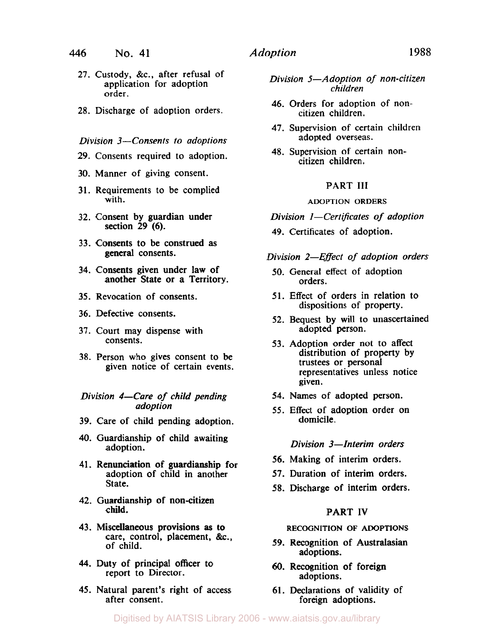- **446 No. 41** *Adoption* **1988** 
	- **27.** Custody, &c., after refusal of application for adoption order.
	-

### *Division 3-Consents to adoptions*

- **29.**  Consents required to adoption.
- **30.**  Manner of giving consent.
- **31.**  Requirements to be complied with.
- **32.**  Consent by guardian under section **29 (6).**
- **33.**  Consents to be construed as general consents.
- **34.**  Consents given under law of another State or a Territory.
- **35.**  Revocation of consents.
- **36.**  Defective consents.
- **37.**  Court may dispense with consents.
- **38.**  Person who gives consent to be given notice of certain events.

*Division 4-Care of child pending adoption* 

- **39.** Care of child pending adoption.
- **40.** Guardianship of child awaiting adoption.
- **41.** Renunciation of guardianship for adoption of child in another State.
- child. **42.** Guardianship of non-citizen
- care, control, placement, &c., of child. **43.** Miscellaneous provisions **as to**
- **44.** Duty of principal officer to report to Director.
- **45.** Natural parent's right of access after consent.

#### *Division 5-Adoption of non-citizen children*

- **46.** Orders for adoption of non- **28.** Discharge of adoption orders. citizen children.
	- **47.** Supervision of certain children
	- **48.** Supervision of certain noncitizen children.

## PART **III**

### **ADOPTION ORDERS**

*Division I-Certificates of adoption* 

**49.** Certificates of adoption.

*Division 2-Effect of adoption orders* 

- *50.* General effect of adoption orders.
- **51.** Effect of orders in relation to dispositions of property.
- **52.** Bequest by will to unascertained adopted person.
- **53.** Adoption order not to affect distribution of property by trustees or personal representatives unless notice given.
- **54.** Names of adopted person.
- *55.* Effect of adoption order on domicile.

### *Division 3-Interim orders*

- **56.** Making of interim orders.
- **57.** Duration of interim orders.
- **58.** Discharge of interim orders.

# **PART IV**

### **RECOGNITION OF ADOPTIONS**

- **59.** Recognition of Australasian adoptions.
- **60.** Recognition of foreign adoptions.
- **61.** Declarations of validity of foreign adoptions.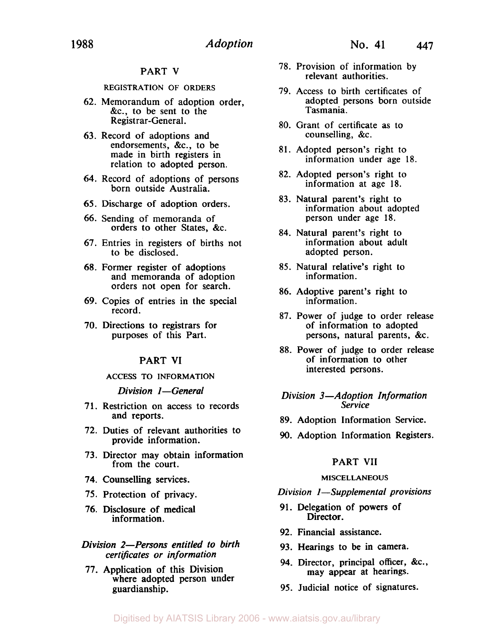## PART V

#### **REGISTRATION OF ORDERS**

- **62.**  Memorandum of adoption order, &c., to be sent to the Registrar-General.
- **63.**  Record of adoptions and endorsements, &c., to be made in birth registers in relation to adopted person.
- **64.**  Record of adoptions of persons born outside Australia.
- **65.**  Discharge of adoption orders.
- **66.**  Sending of memoranda of orders to other States, &c.
- **67.**  Entries in registers of births not to be disclosed.
- **68.**  Former register of adoptions and memoranda of adoption orders not open for search.
- **69.**  Copies of entries in the special record.
- **70.**  Directions to registrars for purposes of this Part.

#### PART VI

### **ACCESS TO INFORMATION**

*Division I-General* 

- **71.**  Restriction on access to records and reports.
- **72.**  Duties of relevant authorities to provide information.
- **73.**  Director may obtain information from the court.
- **74.**  Counselling services.
- **75.**  Protection of privacy.
- **76.**  Disclosure of medical information.

## *Division 2-Persons entitled to birth certificates or information*

**77.** Application of this Division where adopted person under guardianship.

- **78.** Provision of information by relevant authorities.
- **79.** Access to birth certificates of adopted persons born outside Tasmania.
- 80. Grant of certificate **as** to counselling, &c.
- 81. Adopted person's right to information under age 18.
- **82.** Adopted person's right to information at age **18.**
- **83.** Natural parent's right to information about adopted person under age 18.
- **84.** Natural parent's right to information about adult adopted person.
- **85.** Natural relative's right to information.
- **86.** Adoptive parent's right to information.
- **87.** Power of judge to order release of information to adopted persons, natural parents, &c.
- **88.** Power of judge to order release of information to other interested persons.

*Division 3-Adoption In formation Service* 

- **89.** Adoption Information Service.
- **90.** Adoption Information Registers.

## PART VII

### **MISCELLANEOUS**

#### *Division I-Supplemental provisions*

- **91.** Delegation of powers of Director.
- **92.** Financial assistance.
- **93.** Hearings to be in camera.
- **94.** Director, principal officer, &c., may appear at hearings.
- **95.** Judicial notice of signatures.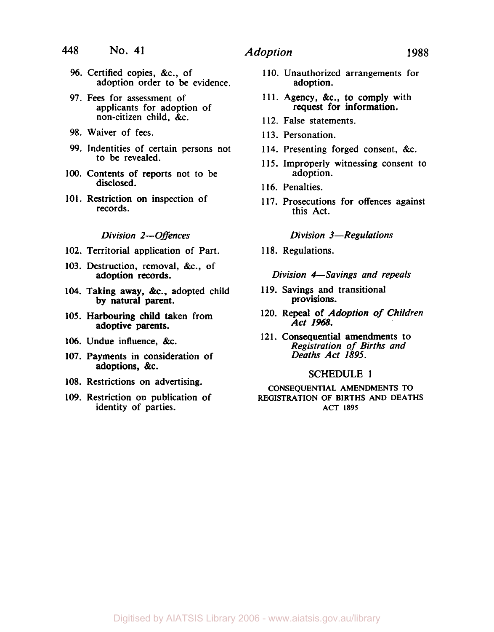- **96.** Certified copies, &c., of adoption order **to** be evidence.
- **97.** Fees for assessment of applicants for adoption of non-citizen child, &c.
- **98.** Waiver of fees.
- 99. Indentities of certain persons not to be revealed.
- disclosed. **100.** Contents of reports not to be
- records. **101.** Restriction on inspection of

### *Division 2-Offences*

- **102.** Territorial application of Part.
- **103.** Destruction, removal, &c., of adoption records.
- **104.** Taking away, &c., adopted child by natural parent.
- **105.** Harbouring child taken from adoptive parents.
- **106.** Undue influence, &c.
- **107.** Payments in consideration of adoptions, &c.
- **108.** Restrictions on advertising.
- **109.** Restriction on publication of identity of parties.

- **1 10.** Unauthorized arrangements for adoption.
- **111.** Agency, &c., to comply with request for information.
- **112.** False statements.
- **113.** Personation.
- **114.** Presenting forged consent, &c.
- **115.** Improperly witnessing consent to adoption.
- **116.** Penalties.
- **117.** Prosecutions for offences against this Act.

#### *Division 3-Regulations*

**118.** Regulations.

#### *Division 4-Savings and repeals*

- **119.** Savings and transitional provisions.
- **120.** Repeal of *Adoption of Children Act 1968.*
- **121.** Consequential amendments to *Registration of Births and Deaths Act 1895.*

## SCHEDULE **1**

**CONSEQUENTIAL AMENDMENTS TO REGISTRATION OF BIRTHS AND DEATHS ACT 1895**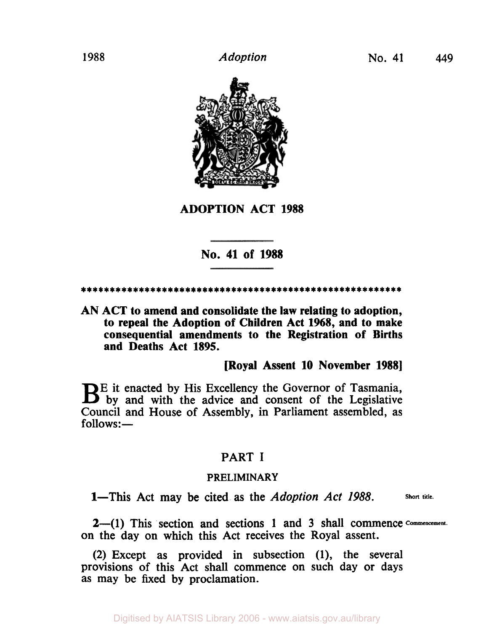

**ADOPTION ACT 1988** 

# **No. 41 of 1988**

#### ........................................................

**AN ACT to amend and consolidate the law relating to adoption, to repeal the Adoption of Children Act 1968, and to make consequential amendments to the Registration of Births and Deaths Act 1895.** 

# **[Royal Assent 10 November 1988]**

BE it enacted by His Excellency the Governor of Tasmania, B by and with the advice and consent of the Legislative Council and House of Assembly, in Parliament assembled, as follows:-

# PART I

## **PRELIMINARY**

1-This Act may be cited as the *Adoption Act 1988*. Short title.

**2-(1)** This section and sections **1** and 3 shall commence **commencement.**  on the day on which this Act receives the Royal assent.

**(2)** Except as provided in subsection **(l),** the several provisions of this Act shall commence on such day or days as may be fixed by proclamation.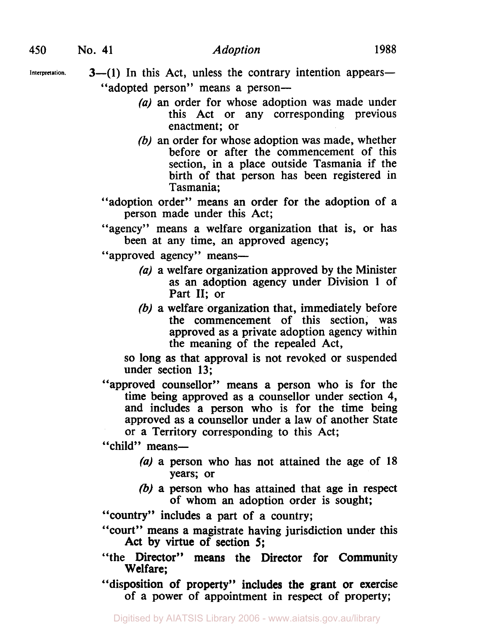- Interpretation. **3**—(1) In this Act, unless the contrary intention appears— "adopted person" means a person-
	- *(a)* an order for whose adoption was made under this Act or any corresponding previous enactment; or
	- (b) an order for whose adoption was made, whether before or after the commencement of this section, in a place outside Tasmania if the birth of that person has been registered in Tasmania;
	- "adoption order" means an order for the adoption of a person made under this Act;
	- "agency" means a welfare organization that is, or has been at any time, an approved agency;
	- "approved agency" means-
		- *(a)* a welfare organization approved by the Minister as an adoption agency under Division **1** of **Part** 11; or
		- (b) a welfare organization that, immediately before the commencement of this section, was approved as a private adoption agency within the meaning of the repealed Act,

so long **as** that approval is not revoked or suspended under section **13;** 

"approved counsellor" means a person who is for the time being approved as a counsellor under section **4,**  and includes a person who is for the time being approved as a counsellor under a law of another State or a Territory corresponding *to* this Act;

"child" means-

- *(a)* a person who has not attained the age of **18**  years; or
- (b) a person who has attained that age in respect of whom an adoption order is sought;

"country" includes a part of a country;

"court" means a magistrate having jurisdiction under this Act by virtue of section *5;* 

- "the Director" means the Director for Community Welfare;
- "disposition of property" includes the grant or exercise of a power of appointment in respect of property;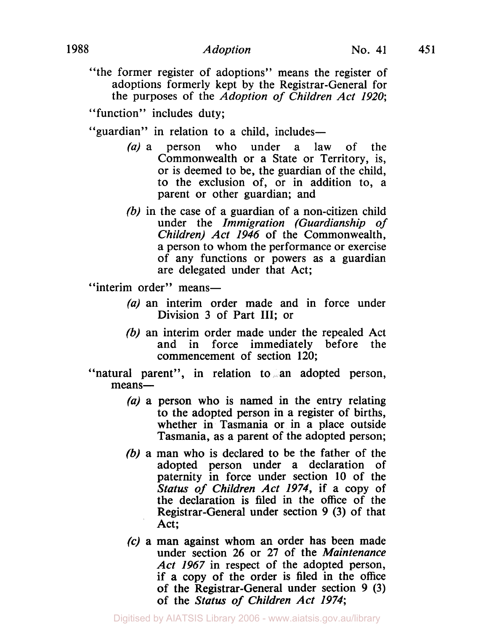**45 1** 

"the former register of adoptions" means the register of adoptions formerly kept by the Registrar-General for the purposes of the *Adoption of Children Act 1920;* 

"function" includes duty;

"guardian" in relation to a child, includes—

- *(a)* a person who under a law of the Commonwealth or a State or Territory, is, or is deemed to be, the guardian of the child, to the exclusion of, or in addition to, a parent or other guardian; and
- (b) in the case of a guardian of a non-citizen child under the *Immigration (Guardianship of Children) Act 1946* of the Commonwealth, a person to whom the performance or exercise of any functions or powers as a guardian are delegated under that Act;

"interim order" means-

- *(a)* an interim order made and in force under Division 3 of Part 111; or
- (b) an interim order made under the repealed Act and in force immediately before the commencement of section 120;
- "natural parent", in relation to an adopted person, means-
	- *(a)* a person who is named in the entry relating to the adopted person in a register of births, whether in Tasmania or in a place outside Tasmania, as a parent of the adopted person;
	- (b) a man who is declared to be the father of the adopted person under a declaration of paternity in force under section **10** of the *Status of Children Act 1974,* if a copy of the declaration is filed in the office of the Registrar-General under section **9** (3) of that Act;
	- (c) a man against whom an order has been made under section 26 or 27 of the *Maintenance Act 1967* in respect of the adopted person, if a copy of the order is filed in the office of the Registrar-General under section 9 (3) of the *Status of Children Act 1974;*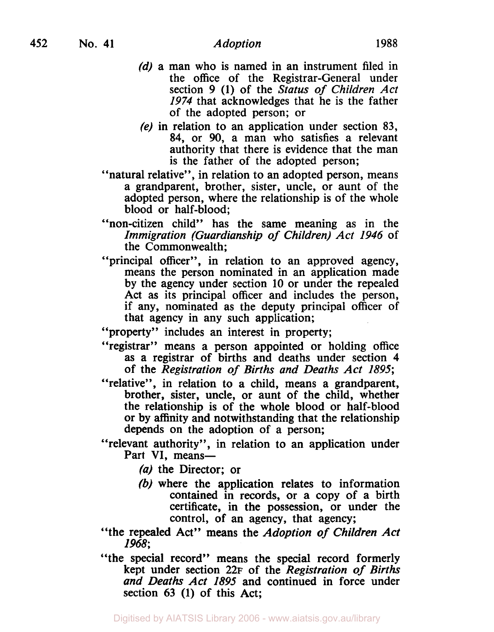- *(d)* a man who is named in an instrument filed in the office of the Registrar-General under section **9** (1) of the *Status of Children Act 1974* that acknowledges that he is the father of the adopted person; or
- (e) in relation to an application under section **83, 84,** or **90,** a man who satisfies a relevant authority that there is evidence that the man is the father of the adopted person;
- "natural relative", in relation to an adopted person, means a grandparent, brother, sister, uncle, or aunt of the adopted person, where the relationship is of the whole blood or half-blood;
- "non-citizen child" has the same meaning as in the *Immigration (Guardianship of Children) Act 1946* of the Commonwealth;
- "principal officer", in relation to an approved agency, means the person nominated in an application made by the agency under section 10 or under the repealed Act as its principal officer and includes the person, if any, nominated as the deputy principal officer of that agency in any such application;

"property" includes an interest in property;

- "registrar" means a person appointed or holding office as a registrar of births and deaths under section **4**  of the *Registration of Births and Deaths Act 1895;*
- "relative", in relation to a child, means a grandparent, brother, sister, uncle, or aunt of the child, whether the relationship is of the whole blood or half-blood or by affinity and notwithstanding that the relationship depends on the adoption of a person;
- "relevant authority", in relation to an application under Part VI, means-
	- *(a)* the Director; or
	- (b) where the application relates to information contained in records, or a copy of a birth certificate, in the possession, or under the control, of an agency, that agency;
- "the repealed Act" means the *Adoption of Children Act 1968;*
- "the special record" means the special record formerly kept under section **22F** of the *Registration of Births and Deaths Act 1895* and continued in force under section **63 (1)** of this Act;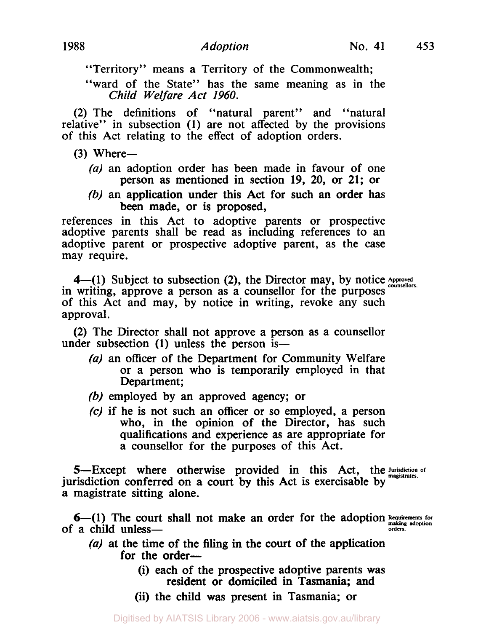"Territory" means a Territory of the Commonwealth;

"ward of the State" has the same meaning as in the *Child Welfare Act 1960.* 

(2) The definitions of "natural parent" and "natural relative" in subsection (1) are not affected by the provisions of this Act relating to the effect of adoption orders.

- $(3)$  Where-
	- (a) an adoption order has been made in favour of one person as mentioned in section 19, 20, or 21; or
	- (b) an application under this Act for such an order has been made, or is proposed,

references in this Act to adoptive parents or prospective adoptive parents shall be read as including references to an adoptive parent or prospective adoptive parent, as the case may require.

**4-(1)** Subject to subsection (2), the Director may, by notice Approved in writing, approve a person as a counsellor for the purposes of this Act and may, by notice in writing, revoke any such approval.

(2) The Director shall not approve a person as a counsellor under subsection (1) unless the person is—

- *(a)* an officer of the Department for Community Welfare or a person who is temporarily employed in that Department;
- (b) employed by an approved agency; or
- (c) if he is not such an officer or so employed, a person who, in the opinion of the Director, has such qualifications and experience as are appropriate for a counsellor for the purposes of this Act.

5-Except where otherwise provided in this Act, the *Jurisdiction of* jurisdiction conferred on a court by this Act is exercisable by **a** magistrate sitting alone.

6-(1) The court shall not make an order for the adoption **Requirements for** of a child unless-

(a) at the time of the filing in the court of the application for the order-

- (i) each of the prospective adoptive parents was resident or domiciled in Tasmania; and
- (ii) the child was present in Tasmania; or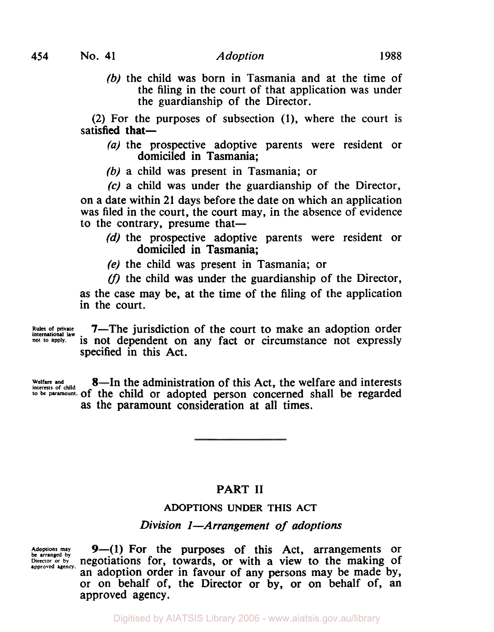(b) the child was born in Tasmania and at the time of the filing in the court of that application was under the guardianship of the Director.

**(2)** For the purposes of subsection **(1),** where the court is satisfied that $-$ 

- *(a)* the prospective adoptive parents were resident or domiciled in Tasmania;
- (b) a child was present in Tasmania; or

*(c)* a child was under the guardianship of the Director, on a date within **21** days before the date on which an application was filed in the court, the court may, in the absence of evidence to the contrary, presume that-

*(d)* the prospective adoptive parents were resident or domiciled in Tasmania;

**(e)** the child was present in Tasmania; or

(f) the child was under the guardianship of the Director, as the case may be, at the time of the filing of the application in the court.

**Rules of private international law not to apply.** 

**7**—The jurisdiction of the court to make an adoption order is not dependent on any fact or circumstance not expressly specified in this Act.

Welfare and **8**—In the administration of this Act, the welfare and interests interests *<sup>10</sup>***be paramount.** of the child or adopted person concerned shall be regarded as the paramount consideration at all times.

# PART II

# **ADOPTIONS UNDER THIS ACT**

# *Division I-Arrangement of adoptions*

Adoptions may 9-(1) For the purposes of this Act, arrangements or Director or by **Director** or **proved agency**. **Property a** *pirector or by agency by c <i>p c c<sub>n*</sub> *c c<sub>n*</sub> *c c<sub>n*</sub> *c c c<sub>n*</sub> *c c c<sub>n*</sub> *c c c* an adoption order in favour of any persons may be made by, or on behalf of, the Director or by, or on behalf of, an approved agency.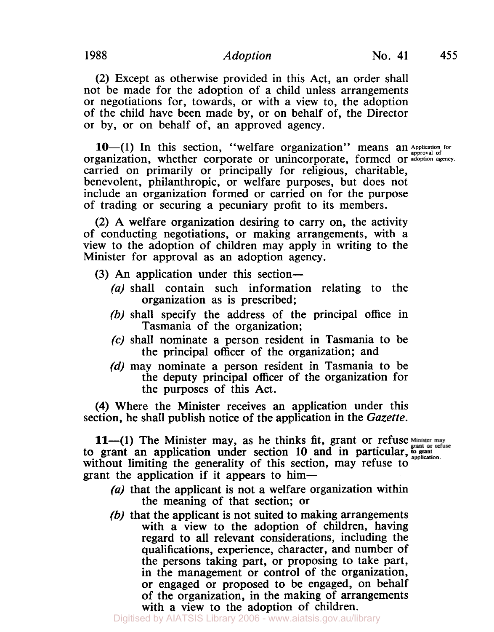(2) Except as otherwise provided in this Act, an order shall not be made for the adoption of a child unless arrangements or negotiations for, towards, or with a view to, the adoption of the child have been made by, or on behalf of, the Director or by, or on behalf of, an approved agency.

**10-(1)** In this section, "welfare organization" means an *Application for* organization, whether corporate or unincorporate, formed or **adoption agency.**  carried on primarily or principally for religious, charitable, benevolent, philanthropic, or welfare purposes, but does not include an organization formed or carried on for the purpose of trading or securing a pecuniary profit to its members.

(2) A welfare organization desiring to carry on, the activity of conducting negotiations, or making arrangements, with a view to the adoption of children may apply in writing to the Minister for approval as an adoption agency.

- (3) An application under this section-
	- *(a)* shall contain such information relating to the organization as is prescribed;
	- (b) shall specify the address of the principal office in Tasmania of the organization;
	- *(c)* shall nominate a person resident in Tasmania to be the principal officer of the organization; and
	- *(d)* may nominate a person resident in Tasmania to be the deputy principal officer of the organization for the purposes of this Act.

**(4)** Where the Minister receives an application under this section, he shall publish notice of the application in the *Gazette.* 

11-(1) The Minister may, as he thinks fit, grant or refuse Minister may without limiting the generality of this section, may refuse to grant the application if it appears to him to grant an application under section 10 and in particular,  $\frac{1}{10}$  **b** grant or refuse

- *(a)* that the applicant is not a welfare organization within the meaning of that section; or
- (b) that the applicant is not suited to making arrangements with a view to the adoption of children, having regard to all relevant considerations, including the qualifications, experience, character, and number of the persons taking part, or proposing to take part, in the management or control of the organization, or engaged or proposed to be engaged, on behalf of the organization, in the making of arrangements with a view to the adoption of children.

Digitised by AIATSIS Library 2006 - www.aiatsis.gov.au/library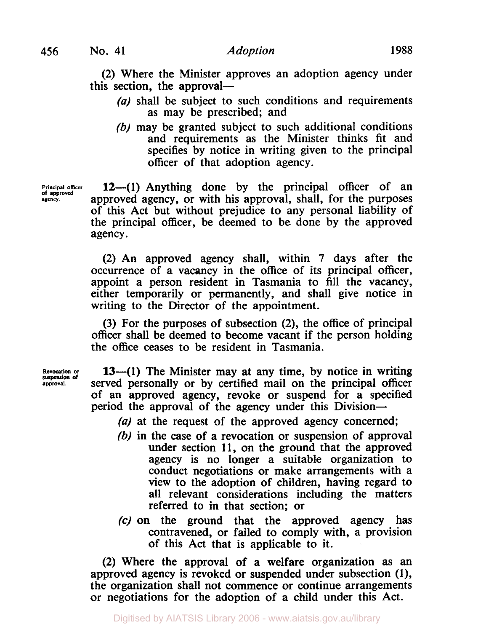(2) Where the Minister approves an adoption agency under this section, the approval—

- $(a)$  shall be subject to such conditions and requirements as may be prescribed; and
- (b) may be granted subject to such additional conditions and requirements as the Minister thinks fit and specifies by notice in writing given to the principal officer of that adoption agency.

Principal officer **12—(1)** Anything done by the principal officer of an **agency. approved agency, or with his approval, shall, for the purposes** of this Act but without prejudice to any personal liability of the principal officer, be deemed to be done by the approved agency.

> (2) An approved agency shall, within 7 days after the occurrence of a vacancy in the office of its principal officer, appoint a person resident in Tasmania to fill the vacancy, either temporarily or permanently, and shall give notice in writing to the Director of the appointment.

> (3) For the purposes of subsection (2), the office of principal officer shall be deemed to become vacant if the person holding the office ceases to be resident in Tasmania.

**Revocation or approval. suspension of** 

**of approved** 

**13—(1)** The Minister may at any time, by notice in writing served personally or by certified mail on the principal officer of an approved agency, revoke or suspend for a specified period the approval of the agency under this Division-

(a) at the request of the approved agency concerned;

- (b) in the case of a revocation or suspension of approval under section **11,** on the ground that the approved agency is no longer a suitable organization to conduct negotiations or make arrangements with a view to the adoption of children, having regard to all relevant considerations including the matters referred to in that section; or
- **(c)** on the ground that the approved agency has contravened, or failed to comply with, a provision of this Act that is applicable to it.

**(2)** Where the approval of a welfare organization as an approved agency is revoked or suspended under subsection **(l),**  the organization shall not commence or continue arrangements or negotiations for the adoption of **a** child under this Act.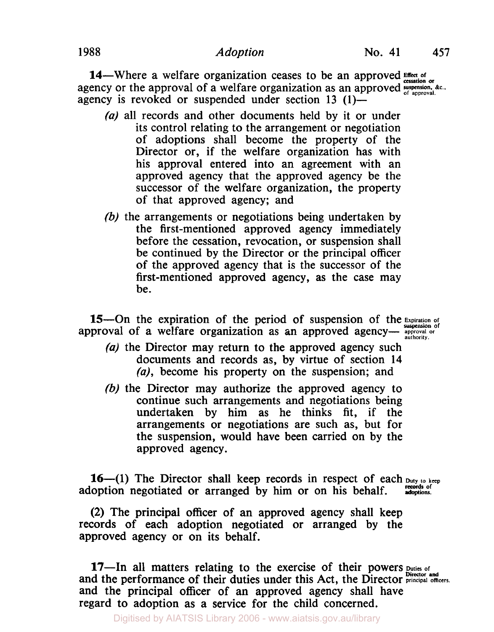**14**—Where a welfare organization ceases to be an approved **Effect** of cessation or agency or the approval of a welfare organization as an approved suspension, &c., agency is revoked or suspended under section 13 (1)-

- *(a)* all records and other documents held by it or under its control relating to the arrangement or negotiation of adoptions shall become the property of the Director or, if the welfare organization has with his approval entered into an agreement with an approved agency that the approved agency be the successor of the welfare organization, the property of that approved agency; and
- (b) the arrangements or negotiations being undertaken by the first-mentioned approved agency immediately before the cessation, revocation, or suspension shall be continued by the Director or the principal officer of the approved agency that is the successor of the first-mentioned approved agency, as the case may be.

15-On the expiration of the period of suspension of the **Expiration of** approval of a welfare organization as an approved agency- **approval or** authority,

- *(a)* the Director may return to the approved agency such documents and records as, by virtue of section **14**  *(a),* become his property on the suspension; and
- (b) the Director may authorize the approved agency to continue such arrangements and negotiations being undertaken by him as he thinks fit, if the arrangements or negotiations are such as, but for the suspension, would have been carried on by the approved agency.

16-(1) The Director shall keep records in respect of each **Duty to keep**  adoption negotiated or arranged by him or on his behalf. **records of adoptions.** 

(2) The principal officer of an approved agency shall keep records of each adoption negotiated or arranged by the approved agency or on its behalf.

17-In all matters relating to the exercise of their powers **Duites of**<br>and the performance of their duties under this Act, the Director **Principal officers.** and the principal officer of an approved agency shall have regard to adoption as a service for the child concerned.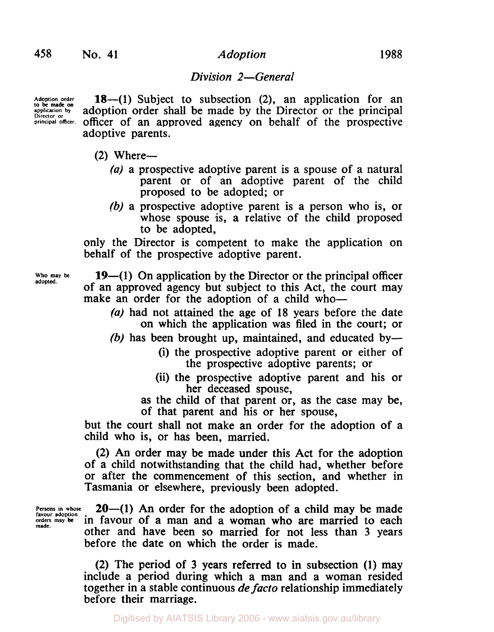# *Division 2-General*

*to* be **made on** 

**18-(1)** Subject to subsection (2), an application for an **application by** adoption order shall be made by the Director or the principal **principal officer** officer of an approved agency on behalf of the prospective adoptive parents.

- $(2)$  Where--
	- *(a)* a prospective adoptive parent is a spouse of a natural parent or of an adoptive parent of the child proposed to be adopted; or
	- (b) a prospective adoptive parent is a person who is, or whose spouse is, a relative of the child proposed to be adopted,

only the Director is competent to make the application on behalf of the prospective adoptive parent.

Who may be  $\bf{adopted}$ .

**19—(1)** On application by the Director or the principal officer of an approved agency but subject to this Act, the court may make an order for the adoption of a child who-

- *(a)* had not attained the age of 18 years before the date on which the application was filed in the court; or
- (b) has been brought up, maintained, and educated by-
	- (i) the prospective adoptive parent or either of the prospective adoptive parents; or
	- (ii) the prospective adoptive parent and his or her deceased spouse,
	- as the child of that parent or, as the case may be, of that parent and his or her spouse,

but the court shall not make an order for the adoption of a child who is, or has been, married.

(2) An order may be made under this Act for the adoption of a child notwithstanding that the child had, whether before or after the commencement of this section, and whether in Tasmania or elsewhere, previously been adopted.

Persons in whose **Persons** in  $\frac{m}{2}$ **orders may made** 

**20**-(1) An order for the adoption of a child may be made in favour of a man and a woman who are married to each other and have been so married for not less than 3 years before the date on which the order is made.

(2) The period of 3 years referred to in subsection **(1)** may include a period during which a man and a woman resided together in a stable continuous *de facto* relationship immediately before their marriage.